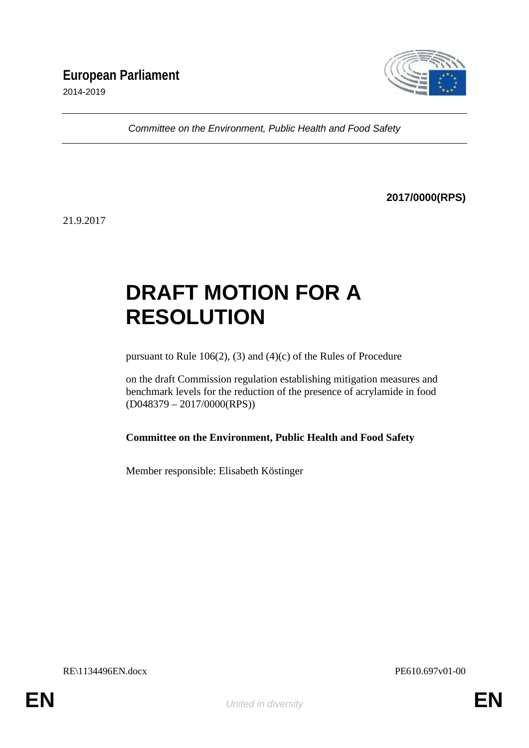

*Committee on the Environment, Public Health and Food Safety*

**2017/0000(RPS)**

21.9.2017

# **DRAFT MOTION FOR A RESOLUTION**

pursuant to Rule 106(2), (3) and (4)(c) of the Rules of Procedure

on the draft Commission regulation establishing mitigation measures and benchmark levels for the reduction of the presence of acrylamide in food (D048379 – 2017/0000(RPS))

**Committee on the Environment, Public Health and Food Safety**

Member responsible: Elisabeth Köstinger

RE\1134496EN.docx PE610.697v01-00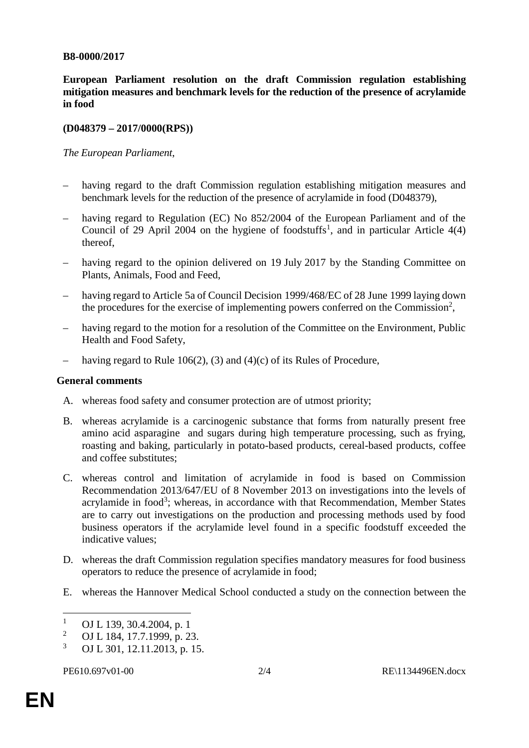### **B8-0000/2017**

**European Parliament resolution on the draft Commission regulation establishing mitigation measures and benchmark levels for the reduction of the presence of acrylamide in food**

### **(D048379 – 2017/0000(RPS))**

*The European Parliament*,

- having regard to the draft Commission regulation establishing mitigation measures and benchmark levels for the reduction of the presence of acrylamide in food (D048379),
- having regard to Regulation (EC) No 852/2004 of the European Parliament and of the Council of 29 April 2004 on the hygiene of foodstuffs<sup>1</sup>, and in particular Article  $4(4)$ thereof,
- having regard to the opinion delivered on 19 July 2017 by the Standing Committee on Plants, Animals, Food and Feed,
- having regard to Article 5a of Council Decision 1999/468/EC of 28 June 1999 laying down the procedures for the exercise of implementing powers conferred on the Commission<sup>2</sup>,
- having regard to the motion for a resolution of the Committee on the Environment, Public Health and Food Safety,
- having regard to Rule 106(2), (3) and (4)(c) of its Rules of Procedure,

#### **General comments**

- A. whereas food safety and consumer protection are of utmost priority;
- B. whereas acrylamide is a carcinogenic substance that forms from naturally present free amino acid asparagine and sugars during high temperature processing, such as frying, roasting and baking, particularly in potato-based products, cereal-based products, coffee and coffee substitutes;
- C. whereas control and limitation of acrylamide in food is based on Commission Recommendation 2013/647/EU of 8 November 2013 on investigations into the levels of acrylamide in food<sup>3</sup>; whereas, in accordance with that Recommendation, Member States are to carry out investigations on the production and processing methods used by food business operators if the acrylamide level found in a specific foodstuff exceeded the indicative values;
- D. whereas the draft Commission regulation specifies mandatory measures for food business operators to reduce the presence of acrylamide in food;
- E. whereas the Hannover Medical School conducted a study on the connection between the

<sup>&</sup>lt;sup>1</sup> OJ L 139, 30.4.2004, p. 1<br><sup>2</sup> OJ L 184, 17.7.1000 p. 22

<sup>&</sup>lt;sup>2</sup> OJ L 184, 17.7.1999, p. 23.<br><sup>3</sup> OJ L 201, 12, 11, 2013, p. 15 <sup>3</sup> OJ L 301, 12.11.2013, p. 15.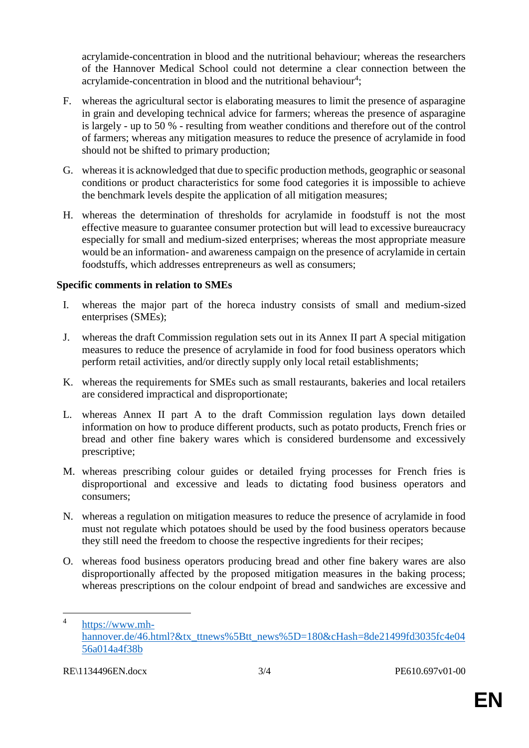acrylamide-concentration in blood and the nutritional behaviour; whereas the researchers of the Hannover Medical School could not determine a clear connection between the acrylamide-concentration in blood and the nutritional behaviour<sup>4</sup>;

- F. whereas the agricultural sector is elaborating measures to limit the presence of asparagine in grain and developing technical advice for farmers; whereas the presence of asparagine is largely - up to 50 % - resulting from weather conditions and therefore out of the control of farmers; whereas any mitigation measures to reduce the presence of acrylamide in food should not be shifted to primary production;
- G. whereas it is acknowledged that due to specific production methods, geographic or seasonal conditions or product characteristics for some food categories it is impossible to achieve the benchmark levels despite the application of all mitigation measures;
- H. whereas the determination of thresholds for acrylamide in foodstuff is not the most effective measure to guarantee consumer protection but will lead to excessive bureaucracy especially for small and medium-sized enterprises; whereas the most appropriate measure would be an information- and awareness campaign on the presence of acrylamide in certain foodstuffs, which addresses entrepreneurs as well as consumers;

## **Specific comments in relation to SMEs**

- I. whereas the major part of the horeca industry consists of small and medium-sized enterprises (SMEs);
- J. whereas the draft Commission regulation sets out in its Annex II part A special mitigation measures to reduce the presence of acrylamide in food for food business operators which perform retail activities, and/or directly supply only local retail establishments;
- K. whereas the requirements for SMEs such as small restaurants, bakeries and local retailers are considered impractical and disproportionate;
- L. whereas Annex II part A to the draft Commission regulation lays down detailed information on how to produce different products, such as potato products, French fries or bread and other fine bakery wares which is considered burdensome and excessively prescriptive;
- M. whereas prescribing colour guides or detailed frying processes for French fries is disproportional and excessive and leads to dictating food business operators and consumers;
- N. whereas a regulation on mitigation measures to reduce the presence of acrylamide in food must not regulate which potatoes should be used by the food business operators because they still need the freedom to choose the respective ingredients for their recipes;
- O. whereas food business operators producing bread and other fine bakery wares are also disproportionally affected by the proposed mitigation measures in the baking process; whereas prescriptions on the colour endpoint of bread and sandwiches are excessive and

<sup>4</sup> https://www.mh hannover.de/46.html?&tx\_ttnews%5Btt\_news%5D=180&cHash=8de21499fd3035fc4e04 56a014a4f38b